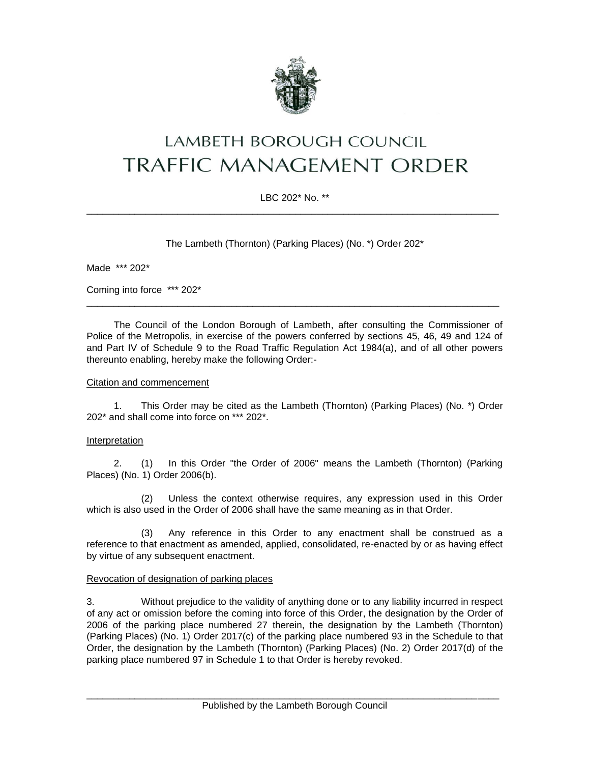

# LAMBETH BOROUGH COUNCIL **TRAFFIC MANAGEMENT ORDER**

## LBC 202\* No. \*\* \_\_\_\_\_\_\_\_\_\_\_\_\_\_\_\_\_\_\_\_\_\_\_\_\_\_\_\_\_\_\_\_\_\_\_\_\_\_\_\_\_\_\_\_\_\_\_\_\_\_\_\_\_\_\_\_\_\_\_\_\_\_\_\_\_\_\_\_\_\_\_\_\_\_\_\_\_

The Lambeth (Thornton) (Parking Places) (No. \*) Order 202\*

Made \*\*\* 202\*

Coming into force \*\*\* 202\*

The Council of the London Borough of Lambeth, after consulting the Commissioner of Police of the Metropolis, in exercise of the powers conferred by sections 45, 46, 49 and 124 of and Part IV of Schedule 9 to the Road Traffic Regulation Act 1984(a), and of all other powers thereunto enabling, hereby make the following Order:-

\_\_\_\_\_\_\_\_\_\_\_\_\_\_\_\_\_\_\_\_\_\_\_\_\_\_\_\_\_\_\_\_\_\_\_\_\_\_\_\_\_\_\_\_\_\_\_\_\_\_\_\_\_\_\_\_\_\_\_\_\_\_\_\_\_\_\_\_\_\_\_\_\_\_\_\_\_

### Citation and commencement

1. This Order may be cited as the Lambeth (Thornton) (Parking Places) (No. \*) Order 202\* and shall come into force on \*\*\* 202\*.

#### Interpretation

2. (1) In this Order "the Order of 2006" means the Lambeth (Thornton) (Parking Places) (No. 1) Order 2006(b).

(2) Unless the context otherwise requires, any expression used in this Order which is also used in the Order of 2006 shall have the same meaning as in that Order.

(3) Any reference in this Order to any enactment shall be construed as a reference to that enactment as amended, applied, consolidated, re-enacted by or as having effect by virtue of any subsequent enactment.

#### Revocation of designation of parking places

3. Without prejudice to the validity of anything done or to any liability incurred in respect of any act or omission before the coming into force of this Order, the designation by the Order of 2006 of the parking place numbered 27 therein, the designation by the Lambeth (Thornton) (Parking Places) (No. 1) Order 2017(c) of the parking place numbered 93 in the Schedule to that Order, the designation by the Lambeth (Thornton) (Parking Places) (No. 2) Order 2017(d) of the parking place numbered 97 in Schedule 1 to that Order is hereby revoked.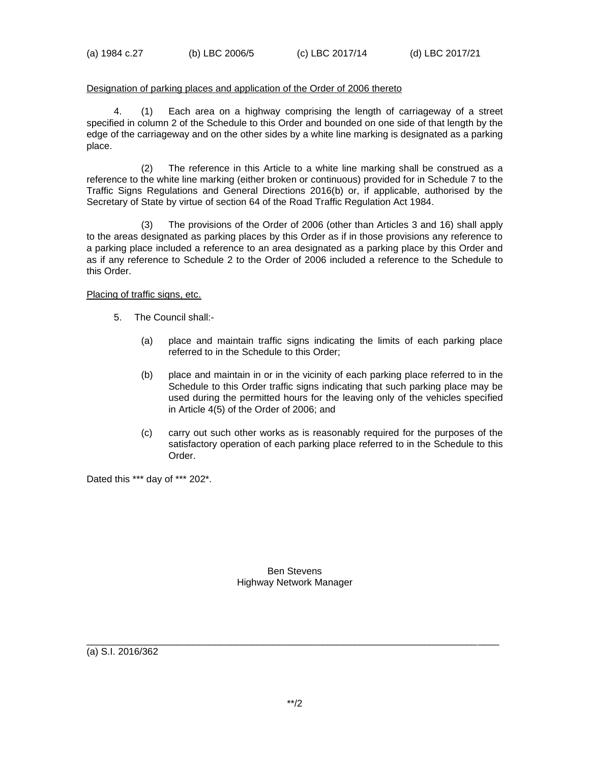#### Designation of parking places and application of the Order of 2006 thereto

4. (1) Each area on a highway comprising the length of carriageway of a street specified in column 2 of the Schedule to this Order and bounded on one side of that length by the edge of the carriageway and on the other sides by a white line marking is designated as a parking place.

(2) The reference in this Article to a white line marking shall be construed as a reference to the white line marking (either broken or continuous) provided for in Schedule 7 to the Traffic Signs Regulations and General Directions 2016(b) or, if applicable, authorised by the Secretary of State by virtue of section 64 of the Road Traffic Regulation Act 1984.

(3) The provisions of the Order of 2006 (other than Articles 3 and 16) shall apply to the areas designated as parking places by this Order as if in those provisions any reference to a parking place included a reference to an area designated as a parking place by this Order and as if any reference to Schedule 2 to the Order of 2006 included a reference to the Schedule to this Order.

Placing of traffic signs, etc.

- 5. The Council shall:-
	- (a) place and maintain traffic signs indicating the limits of each parking place referred to in the Schedule to this Order;
	- (b) place and maintain in or in the vicinity of each parking place referred to in the Schedule to this Order traffic signs indicating that such parking place may be used during the permitted hours for the leaving only of the vehicles specified in Article 4(5) of the Order of 2006; and
	- (c) carry out such other works as is reasonably required for the purposes of the satisfactory operation of each parking place referred to in the Schedule to this Order.

Dated this \*\*\* day of \*\*\* 202\*.

Ben Stevens Highway Network Manager

(a) S.I. 2016/362

\_\_\_\_\_\_\_\_\_\_\_\_\_\_\_\_\_\_\_\_\_\_\_\_\_\_\_\_\_\_\_\_\_\_\_\_\_\_\_\_\_\_\_\_\_\_\_\_\_\_\_\_\_\_\_\_\_\_\_\_\_\_\_\_\_\_\_\_\_\_\_\_\_\_\_\_\_